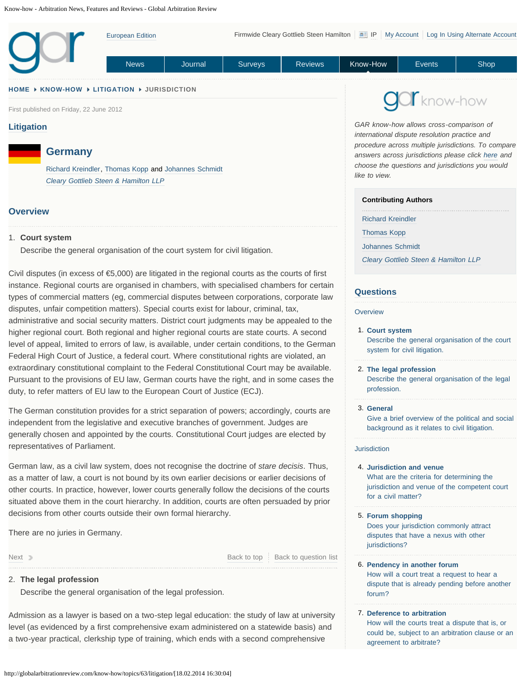<span id="page-0-0"></span>

### **[HOME](http://globalarbitrationreview.com/) [KNOW-HOW](http://globalarbitrationreview.com/know-how/) [LITIGATION](#page-0-0) JURISDICTION**

First published on Friday, 22 June 2012

# **[Litigation](#page-0-0)**

# **Germany**

[Richard Kreindler,](http://globalarbitrationreview.com/people/11503/know-how/54212/richard-kreindler/) [Thomas Kopp](http://globalarbitrationreview.com/people/58478/know-how/57399/thomas-kopp/) and [Johannes Schmidt](http://globalarbitrationreview.com/people/58479/know-how/57400/johannes-schmidt/) *[Cleary Gottlieb Steen & Hamilton LLP](http://globalarbitrationreview.com/firms/194/know-how/56436/cleary-gottlieb-steen-hamilton-llp)*

## **Overview**

### <span id="page-0-2"></span>**Court system** 1.

Describe the general organisation of the court system for civil litigation.

<span id="page-0-1"></span>Civil disputes (in excess of  $\epsilon$ 5,000) are litigated in the regional courts as the courts of first instance. Regional courts are organised in chambers, with specialised chambers for certain types of commercial matters (eg, commercial disputes between corporations, corporate law disputes, unfair competition matters). Special courts exist for labour, criminal, tax, administrative and social security matters. District court judgments may be appealed to the higher regional court. Both regional and higher regional courts are state courts. A second level of appeal, limited to errors of law, is available, under certain conditions, to the German Federal High Court of Justice, a federal court. Where constitutional rights are violated, an extraordinary constitutional complaint to the Federal Constitutional Court may be available. Pursuant to the provisions of EU law, German courts have the right, and in some cases the duty, to refer matters of EU law to the European Court of Justice (ECJ).

<span id="page-0-4"></span><span id="page-0-3"></span>The German constitution provides for a strict separation of powers; accordingly, courts are independent from the legislative and executive branches of government. Judges are generally chosen and appointed by the courts. Constitutional Court judges are elected by representatives of Parliament.

<span id="page-0-5"></span>German law, as a civil law system, does not recognise the doctrine of *stare decisis*. Thus, as a matter of law, a court is not bound by its own earlier decisions or earlier decisions of other courts. In practice, however, lower courts generally follow the decisions of the courts situated above them in the court hierarchy. In addition, courts are often persuaded by prior decisions from other courts outside their own formal hierarchy.

<span id="page-0-6"></span>There are no juries in Germany.

<span id="page-0-7"></span>[Next](#page-1-0) Decomposition of the Back to the [Back to top](#page-14-0) [Back to question list](#page-0-1)

### **The legal profession** 2.

Describe the general organisation of the legal profession.

Admission as a lawyer is based on a two-step legal education: the study of law at university level (as evidenced by a first comprehensive exam administered on a statewide basis) and a two-year practical, clerkship type of training, which ends with a second comprehensive

Know-how *GAR know-how allows cross-comparison of*

*international dispute resolution practice and procedure across multiple jurisdictions. To compare answers across jurisdictions please click [here](#page-0-0) and choose the questions and jurisdictions you would like to view.*

## **Contributing Authors**

[Richard Kreindler](http://globalarbitrationreview.com/people/11503/know-how/54212/richard-kreindler/)

[Thomas Kopp](http://globalarbitrationreview.com/people/58478/know-how/57399/thomas-kopp/)

[Johannes Schmidt](http://globalarbitrationreview.com/people/58479/know-how/57400/johannes-schmidt/)

*[Cleary Gottlieb Steen & Hamilton LLP](http://globalarbitrationreview.com/firms/194/know-how/56436/cleary-gottlieb-steen-hamilton-llp)*

### **[Questions](http://globalarbitrationreview.com/know-how/)**

#### **Overview**

**[Court system](#page-0-2)** 1. [Describe the general organisation of the court](#page-0-2) [system for civil litigation.](#page-0-2)

#### **[The legal profession](#page-1-0)** 2.

[Describe the general organisation of the legal](#page-1-0) [profession.](#page-1-0)

#### **[General](#page-1-1)** 3.

[Give a brief overview of the political and social](#page-1-1) [background as it relates to civil litigation.](#page-1-1)

#### **Jurisdiction**

**[Jurisdiction and venue](#page-2-0)** 4. [What are the criteria for determining the](#page-2-0) [jurisdiction and venue of the competent court](#page-2-0) [for a civil matter?](#page-2-0)

- **[Forum shopping](#page-2-1)** 5. [Does your jurisdiction commonly attract](#page-2-1) [disputes that have a nexus with other](#page-2-1) [jurisdictions?](#page-2-1)
- **[Pendency in another forum](#page-2-2)** 6. [How will a court treat a request to hear a](#page-2-2) [dispute that is already pending before another](#page-2-2) [forum?](#page-2-2)
- **[Deference to arbitration](#page-2-3)** 7.[How will the courts treat a dispute that is, or](#page-2-3) [could be, subject to an arbitration clause or an](#page-2-3) [agreement to arbitrate?](#page-2-3)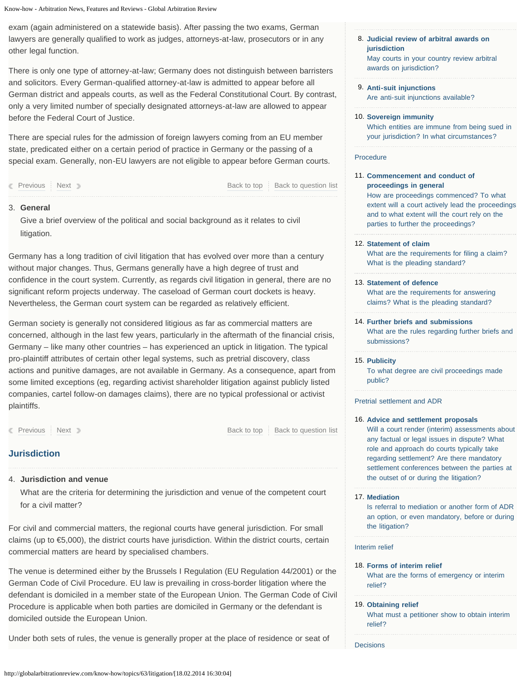<span id="page-1-3"></span><span id="page-1-2"></span><span id="page-1-0"></span>exam (again administered on a statewide basis). After passing the two exams, German lawyers are generally qualified to work as judges, attorneys-at-law, prosecutors or in any other legal function.

<span id="page-1-4"></span>There is only one type of attorney-at-law; Germany does not distinguish between barristers and solicitors. Every German-qualified attorney-at-law is admitted to appear before all German district and appeals courts, as well as the Federal Constitutional Court. By contrast, only a very limited number of specially designated attorneys-at-law are allowed to appear before the Federal Court of Justice.

<span id="page-1-5"></span>There are special rules for the admission of foreign lawyers coming from an EU member state, predicated either on a certain period of practice in Germany or the passing of a special exam. Generally, non-EU lawyers are not eligible to appear before German courts.

<span id="page-1-6"></span>**[Previous](#page-0-2) [Next](#page-1-1) Access Access Access Access Access Access Access Access Access Access Access Access Access Access** 

# <span id="page-1-1"></span>**General** 3.

Give a brief overview of the political and social background as it relates to civil litigation.

<span id="page-1-8"></span><span id="page-1-7"></span>Germany has a long tradition of civil litigation that has evolved over more than a century without major changes. Thus, Germans generally have a high degree of trust and confidence in the court system. Currently, as regards civil litigation in general, there are no significant reform projects underway. The caseload of German court dockets is heavy. Nevertheless, the German court system can be regarded as relatively efficient.

<span id="page-1-10"></span><span id="page-1-9"></span>German society is generally not considered litigious as far as commercial matters are concerned, although in the last few years, particularly in the aftermath of the financial crisis, Germany – like many other countries – has experienced an uptick in litigation. The typical pro-plaintiff attributes of certain other legal systems, such as pretrial discovery, class actions and punitive damages, are not available in Germany. As a consequence, apart from some limited exceptions (eg, regarding activist shareholder litigation against publicly listed companies, cartel follow-on damages claims), there are no typical professional or activist plaintiffs.

<span id="page-1-11"></span>**[Previous](#page-1-0) [Next](#page-2-0) [Back to top](#page-14-0) [Back to question list](#page-0-4)** Back to top Back to question list

# **Jurisdiction**

<span id="page-1-12"></span>**Jurisdiction and venue** 4.

What are the criteria for determining the jurisdiction and venue of the competent court for a civil matter?

For civil and commercial matters, the regional courts have general jurisdiction. For small claims (up to €5,000), the district courts have jurisdiction. Within the district courts, certain commercial matters are heard by specialised chambers.

<span id="page-1-14"></span><span id="page-1-13"></span>The venue is determined either by the Brussels I Regulation (EU Regulation 44/2001) or the German Code of Civil Procedure. EU law is prevailing in cross-border litigation where the defendant is domiciled in a member state of the European Union. The German Code of Civil Procedure is applicable when both parties are domiciled in Germany or the defendant is domiciled outside the European Union.

Under both sets of rules, the venue is generally proper at the place of residence or seat of

- **[Judicial review of arbitral awards on](#page-3-0)** 8. **[jurisdiction](#page-3-0)** [May courts in your country review arbitral](#page-3-0) [awards on jurisdiction?](#page-3-0)
- **[Anti-suit injunctions](#page-3-1)** 9. [Are anti-suit injunctions available?](#page-3-1)
- **[Sovereign immunity](#page-3-2)** 10. [Which entities are immune from being sued in](#page-3-2) [your jurisdiction? In what circumstances?](#page-3-2)

### Procedure

11. [Commencement and conduct of](#page-4-0) **[proceedings in general](#page-4-0)**

[How are proceedings commenced? To what](#page-4-0) [extent will a court actively lead the proceedings](#page-4-0) [and to what extent will the court rely on the](#page-4-0) [parties to further the proceedings?](#page-4-0)

**[Statement of claim](#page-4-1)** 12.

[What are the requirements for filing a claim?](#page-4-1) [What is the pleading standard?](#page-4-1)

13. [Statement of defence](#page-4-2)

[What are the requirements for answering](#page-4-2) [claims? What is the pleading standard?](#page-4-2)

**[Further briefs and submissions](#page-4-3)** 14.

[What are the rules regarding further briefs and](#page-4-3) [submissions?](#page-4-3)

**[Publicity](#page-5-0)** 15. [To what degree are civil proceedings made](#page-5-0) [public?](#page-5-0)

# Pretrial settlement and ADR

**[Advice and settlement proposals](#page-5-1)** 16.

[Will a court render \(interim\) assessments about](#page-5-1) [any factual or legal issues in dispute? What](#page-5-1) [role and approach do courts typically take](#page-5-1) [regarding settlement? Are there mandatory](#page-5-1) [settlement conferences between the parties at](#page-5-1) [the outset of or during the litigation?](#page-5-1)

# **[Mediation](#page-5-2)** 17.

[Is referral to mediation or another form of ADR](#page-5-2) [an option, or even mandatory, before or during](#page-5-2) [the litigation?](#page-5-2)

# Interim relief

- **[Forms of interim relief](#page-6-0)** 18. [What are the forms of emergency or interim](#page-6-0) [relief?](#page-6-0)
- **[Obtaining relief](#page-6-1)** 19.

[What must a petitioner show to obtain interim](#page-6-1) [relief?](#page-6-1)

**Decisions**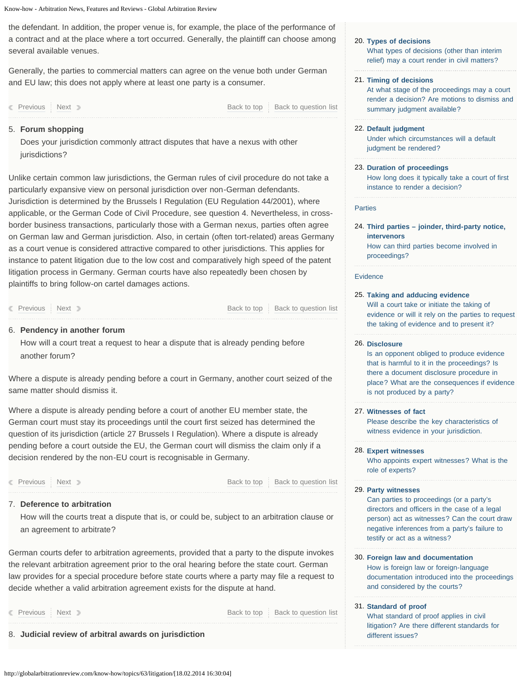<span id="page-2-4"></span><span id="page-2-0"></span>the defendant. In addition, the proper venue is, for example, the place of the performance of a contract and at the place where a tort occurred. Generally, the plaintiff can choose among several available venues.

<span id="page-2-5"></span>Generally, the parties to commercial matters can agree on the venue both under German and EU law; this does not apply where at least one party is a consumer.

| Previous : Next | Back to top   Back to question list |
|-----------------|-------------------------------------|
|                 |                                     |

### <span id="page-2-6"></span><span id="page-2-1"></span>**Forum shopping** 5.

Does your jurisdiction commonly attract disputes that have a nexus with other jurisdictions?

<span id="page-2-8"></span><span id="page-2-7"></span>Unlike certain common law jurisdictions, the German rules of civil procedure do not take a particularly expansive view on personal jurisdiction over non-German defendants. Jurisdiction is determined by the Brussels I Regulation (EU Regulation 44/2001), where applicable, or the German Code of Civil Procedure, see question 4. Nevertheless, in crossborder business transactions, particularly those with a German nexus, parties often agree on German law and German jurisdiction. Also, in certain (often tort-related) areas Germany as a court venue is considered attractive compared to other jurisdictions. This applies for instance to patent litigation due to the low cost and comparatively high speed of the patent litigation process in Germany. German courts have also repeatedly been chosen by plaintiffs to bring follow-on cartel damages actions.

<span id="page-2-9"></span>**[Previous](#page-2-0) [Next](#page-2-2) [Back to top](#page-14-0) Back to duestion list** Back to top [Back to question list](#page-0-6)

## <span id="page-2-10"></span><span id="page-2-2"></span>**Pendency in another forum** 6.

How will a court treat a request to hear a dispute that is already pending before another forum?

Where a dispute is already pending before a court in Germany, another court seized of the same matter should dismiss it.

<span id="page-2-11"></span>Where a dispute is already pending before a court of another EU member state, the German court must stay its proceedings until the court first seized has determined the question of its jurisdiction (article 27 Brussels I Regulation). Where a dispute is already pending before a court outside the EU, the German court will dismiss the claim only if a decision rendered by the non-EU court is recognisable in Germany.

<span id="page-2-12"></span>

<span id="page-2-13"></span>**[Previous](#page-2-1) [Next](#page-2-3) [Back to top](#page-14-0) Back to duestion list** Back to top [Back to question list](#page-0-7)

### <span id="page-2-3"></span>**Deference to arbitration** 7.

How will the courts treat a dispute that is, or could be, subject to an arbitration clause or an agreement to arbitrate?

<span id="page-2-14"></span>German courts defer to arbitration agreements, provided that a party to the dispute invokes the relevant arbitration agreement prior to the oral hearing before the state court. German law provides for a special procedure before state courts where a party may file a request to decide whether a valid arbitration agreement exists for the dispute at hand.

**[Previous](#page-2-2) [Next](#page-3-0) [Back to top](#page-14-0) [Back to question list](#page-1-2)** Back to top Back to question list

8. **Judicial review of arbitral awards on jurisdiction**

#### **[Types of decisions](#page-6-2)** 20.

[What types of decisions \(other than interim](#page-6-2) [relief\) may a court render in civil matters?](#page-6-2)

#### **[Timing of decisions](#page-7-0)** 21.

[At what stage of the proceedings may a court](#page-7-0) [render a decision? Are motions to dismiss and](#page-7-0) [summary judgment available?](#page-7-0)

- **[Default judgment](#page-7-1)** 22. [Under which circumstances will a default](#page-7-1) [judgment be rendered?](#page-7-1)
- **[Duration of proceedings](#page-7-2)** 23. [How long does it typically take a court of first](#page-7-2) [instance to render a decision?](#page-7-2)

#### **Parties**

**[Third parties – joinder, third-party notice,](#page-8-0)** 24. **[intervenors](#page-8-0)** [How can third parties become involved in](#page-8-0) [proceedings?](#page-8-0)

#### Evidence

**[Taking and adducing evidence](#page-8-1)** 25. [Will a court take or initiate the taking of](#page-8-1) [evidence or will it rely on the parties to request](#page-8-1) [the taking of evidence and to present it?](#page-8-1)

### **[Disclosure](#page-9-0)** 26.

[Is an opponent obliged to produce evidence](#page-9-0) [that is harmful to it in the proceedings? Is](#page-9-0) [there a document disclosure procedure in](#page-9-0) [place? What are the consequences if evidence](#page-9-0) [is not produced by a party?](#page-9-0)

### **[Witnesses of fact](#page-9-1)** 27.

[Please describe the key characteristics of](#page-9-1) [witness evidence in your jurisdiction.](#page-9-1)

#### **[Expert witnesses](#page-9-2)** 28.

[Who appoints expert witnesses? What is the](#page-9-2) [role of experts?](#page-9-2)

### **[Party witnesses](#page-9-3)** 29.

[Can parties to proceedings \(or a party's](#page-9-3) [directors and officers in the case of a legal](#page-9-3) [person\) act as witnesses? Can the court draw](#page-9-3) [negative inferences from a party's failure to](#page-9-3) [testify or act as a witness?](#page-9-3)

**[Foreign law and documentation](#page-10-0)** 30. [How is foreign law or foreign-language](#page-10-0) [documentation introduced into the proceedings](#page-10-0) [and considered by the courts?](#page-10-0)

# **[Standard of proof](#page-10-1)** 31.

[What standard of proof applies in civil](#page-10-1) [litigation? Are there different standards for](#page-10-1) [different issues?](#page-10-1)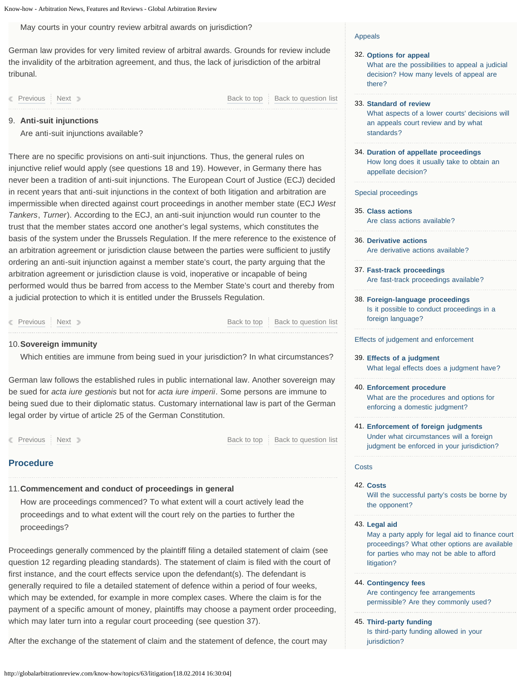<span id="page-3-3"></span><span id="page-3-0"></span>May courts in your country review arbitral awards on jurisdiction?

<span id="page-3-4"></span>German law provides for very limited review of arbitral awards. Grounds for review include the invalidity of the arbitration agreement, and thus, the lack of jurisdiction of the arbitral tribunal.

<span id="page-3-5"></span>**[Previous](#page-2-3) [Next](#page-3-1) [Back to top](#page-14-0) [Back to question list](#page-1-3)** 

### <span id="page-3-1"></span>**Anti-suit injunctions** 9.

Are anti-suit injunctions available?

<span id="page-3-8"></span><span id="page-3-7"></span><span id="page-3-6"></span>There are no specific provisions on anti-suit injunctions. Thus, the general rules on injunctive relief would apply (see questions 18 and 19). However, in Germany there has never been a tradition of anti-suit injunctions. The European Court of Justice (ECJ) decided in recent years that anti-suit injunctions in the context of both litigation and arbitration are impermissible when directed against court proceedings in another member state (ECJ *West Tankers*, *Turner*). According to the ECJ, an anti-suit injunction would run counter to the trust that the member states accord one another's legal systems, which constitutes the basis of the system under the Brussels Regulation. If the mere reference to the existence of an arbitration agreement or jurisdiction clause between the parties were sufficient to justify ordering an anti-suit injunction against a member state's court, the party arguing that the arbitration agreement or jurisdiction clause is void, inoperative or incapable of being performed would thus be barred from access to the Member State's court and thereby from a judicial protection to which it is entitled under the Brussels Regulation.

<span id="page-3-10"></span><span id="page-3-9"></span>**[Previous](#page-3-0) [Next](#page-3-2) Access Access Access Access Access Access Access Access Access Access Access Access Access Access** 

### <span id="page-3-11"></span><span id="page-3-2"></span>**Sovereign immunity** 10.

Which entities are immune from being sued in your jurisdiction? In what circumstances?

<span id="page-3-12"></span>German law follows the established rules in public international law. Another sovereign may be sued for *acta iure gestionis* but not for *acta iure imperii*. Some persons are immune to being sued due to their diplomatic status. Customary international law is part of the German legal order by virtue of article 25 of the German Constitution.

<span id="page-3-13"></span>**[Previous](#page-3-1) [Next](#page-4-0) [Back to top](#page-14-0) [Back to question list](#page-1-5)** Back to top Back to question list

# **Procedure**

# <span id="page-3-14"></span>**Commencement and conduct of proceedings in general** 11.

<span id="page-3-15"></span>How are proceedings commenced? To what extent will a court actively lead the proceedings and to what extent will the court rely on the parties to further the proceedings?

<span id="page-3-16"></span>Proceedings generally commenced by the plaintiff filing a detailed statement of claim (see question 12 regarding pleading standards). The statement of claim is filed with the court of first instance, and the court effects service upon the defendant(s). The defendant is generally required to file a detailed statement of defence within a period of four weeks, which may be extended, for example in more complex cases. Where the claim is for the payment of a specific amount of money, plaintiffs may choose a payment order proceeding, which may later turn into a regular court proceeding (see question 37).

After the exchange of the statement of claim and the statement of defence, the court may

### Appeals

#### **[Options for appeal](#page-10-2)** 32.

[What are the possibilities to appeal a judicial](#page-10-2) [decision? How many levels of appeal are](#page-10-2) [there?](#page-10-2)

**[Standard of review](#page-11-0)** 33.

[What aspects of a lower courts' decisions will](#page-11-0) [an appeals court review and by what](#page-11-0) [standards?](#page-11-0)

**[Duration of appellate proceedings](#page-11-1)** 34. [How long does it usually take to obtain an](#page-11-1) [appellate decision?](#page-11-1)

#### Special proceedings

- **[Class actions](#page-11-2)** 35. [Are class actions available?](#page-11-2)
- **[Derivative actions](#page-11-3)** 36. [Are derivative actions available?](#page-11-3)
- **[Fast-track proceedings](#page-12-0)** 37. [Are fast-track proceedings available?](#page-12-0)
- **[Foreign-language proceedings](#page-12-1)** 38. [Is it possible to conduct proceedings in a](#page-12-1) [foreign language?](#page-12-1)

#### Effects of judgement and enforcement

- **[Effects of a judgment](#page-12-2)** 39. [What legal effects does a judgment have?](#page-12-2)
- **[Enforcement procedure](#page-12-3)** 40. [What are the procedures and options for](#page-12-3) [enforcing a domestic judgment?](#page-12-3)
- **[Enforcement of foreign judgments](#page-13-0)** 41. [Under what circumstances will a foreign](#page-13-0) [judgment be enforced in your jurisdiction?](#page-13-0)

### **Costs**

**[Costs](#page-13-1)** 42.

[Will the successful party's costs be borne by](#page-13-1) [the opponent?](#page-13-1)

#### **[Legal aid](#page-13-2)** 43.

[May a party apply for legal aid to finance court](#page-13-2) [proceedings? What other options are available](#page-13-2) [for parties who may not be able to afford](#page-13-2) [litigation?](#page-13-2)

- **[Contingency fees](#page-13-3)** 44. [Are contingency fee arrangements](#page-13-3) [permissible? Are they commonly used?](#page-13-3)
- **[Third-party funding](#page-14-1)** 45.

[Is third-party funding allowed in your](#page-14-1) [jurisdiction?](#page-14-1)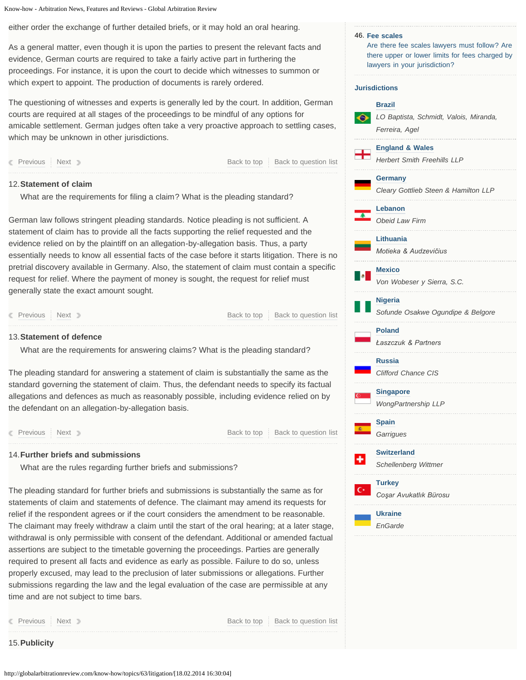<span id="page-4-5"></span><span id="page-4-4"></span><span id="page-4-0"></span>either order the exchange of further detailed briefs, or it may hold an oral hearing.

As a general matter, even though it is upon the parties to present the relevant facts and evidence, German courts are required to take a fairly active part in furthering the proceedings. For instance, it is upon the court to decide which witnesses to summon or which expert to appoint. The production of documents is rarely ordered.

The questioning of witnesses and experts is generally led by the court. In addition, German courts are required at all stages of the proceedings to be mindful of any options for amicable settlement. German judges often take a very proactive approach to settling cases, which may be unknown in other jurisdictions.

**[Previous](#page-3-2) [Next](#page-4-1) [Back to top](#page-14-0) Back to top [Back to question list](#page-1-6)** 

### <span id="page-4-1"></span>**Statement of claim** 12.

What are the requirements for filing a claim? What is the pleading standard?

German law follows stringent pleading standards. Notice pleading is not sufficient. A statement of claim has to provide all the facts supporting the relief requested and the evidence relied on by the plaintiff on an allegation-by-allegation basis. Thus, a party essentially needs to know all essential facts of the case before it starts litigation. There is no pretrial discovery available in Germany. Also, the statement of claim must contain a specific request for relief. Where the payment of money is sought, the request for relief must generally state the exact amount sought.

**[Previous](#page-4-0) [Next](#page-4-2) Access Access Access Access Access Access Access Access Access Access Access Access Access Access** 

### <span id="page-4-2"></span>**Statement of defence** 13.

What are the requirements for answering claims? What is the pleading standard?

The pleading standard for answering a statement of claim is substantially the same as the standard governing the statement of claim. Thus, the defendant needs to specify its factual allegations and defences as much as reasonably possible, including evidence relied on by the defendant on an allegation-by-allegation basis.

[Previous](#page-4-1) [Next](#page-4-3) [Back to top](#page-14-0) [Back to question list](#page-1-8)

## <span id="page-4-3"></span>**Further briefs and submissions** 14.

What are the rules regarding further briefs and submissions?

The pleading standard for further briefs and submissions is substantially the same as for statements of claim and statements of defence. The claimant may amend its requests for relief if the respondent agrees or if the court considers the amendment to be reasonable. The claimant may freely withdraw a claim until the start of the oral hearing; at a later stage, withdrawal is only permissible with consent of the defendant. Additional or amended factual assertions are subject to the timetable governing the proceedings. Parties are generally required to present all facts and evidence as early as possible. Failure to do so, unless properly excused, may lead to the preclusion of later submissions or allegations. Further submissions regarding the law and the legal evaluation of the case are permissible at any time and are not subject to time bars.

15.**Publicity**

**[Previous](#page-4-2) [Next](#page-5-0) [Back to top](#page-14-0) [Back to question list](#page-1-9)** 

**[Fee scales](#page-14-2)** 46. [Are there fee scales lawyers must follow? Are](#page-14-2) [there upper or lower limits for fees charged by](#page-14-2) [lawyers in your jurisdiction?](#page-14-2) **Jurisdictions [Brazil](http://globalarbitrationreview.com/know-how/topics/63/jurisdictions/6/brazil/)**  $\bullet$ *LO Baptista, Schmidt, Valois, Miranda, Ferreira, Agel* **[England & Wales](http://globalarbitrationreview.com/know-how/topics/63/jurisdictions/65/england-wales/)** *Herbert Smith Freehills LLP* **[Germany](http://globalarbitrationreview.com/know-how/topics/63/jurisdictions/11/germany/)** *Cleary Gottlieb Steen & Hamilton LLP* **[Lebanon](http://globalarbitrationreview.com/know-how/topics/63/jurisdictions/48/lebanon/)** *Obeid Law Firm* **[Lithuania](http://globalarbitrationreview.com/know-how/topics/63/jurisdictions/30/lithuania/)** *Motieka & Audzevičius* **[Mexico](http://globalarbitrationreview.com/know-how/topics/63/jurisdictions/16/mexico/)** *Von Wobeser y Sierra, S.C.* **[Nigeria](http://globalarbitrationreview.com/know-how/topics/63/jurisdictions/18/nigeria/)** *Sofunde Osakwe Ogundipe & Belgore* **[Poland](http://globalarbitrationreview.com/know-how/topics/63/jurisdictions/39/poland/)** *Łaszczuk & Partners* **[Russia](http://globalarbitrationreview.com/know-how/topics/63/jurisdictions/26/russia/)** *Clifford Chance CIS* **[Singapore](http://globalarbitrationreview.com/know-how/topics/63/jurisdictions/58/singapore/)** *WongPartnership LLP* **[Spain](http://globalarbitrationreview.com/know-how/topics/63/jurisdictions/21/spain/)** *Garrigues* **[Switzerland](http://globalarbitrationreview.com/know-how/topics/63/jurisdictions/29/switzerland/)** *Schellenberg Wittmer*

**[Turkey](http://globalarbitrationreview.com/know-how/topics/63/jurisdictions/54/turkey/)**

٠

 $\mathbf{C}$ 

**[Ukraine](http://globalarbitrationreview.com/know-how/topics/63/jurisdictions/63/ukraine/)** *EnGarde*

*Coşar Avukatlık Bürosu*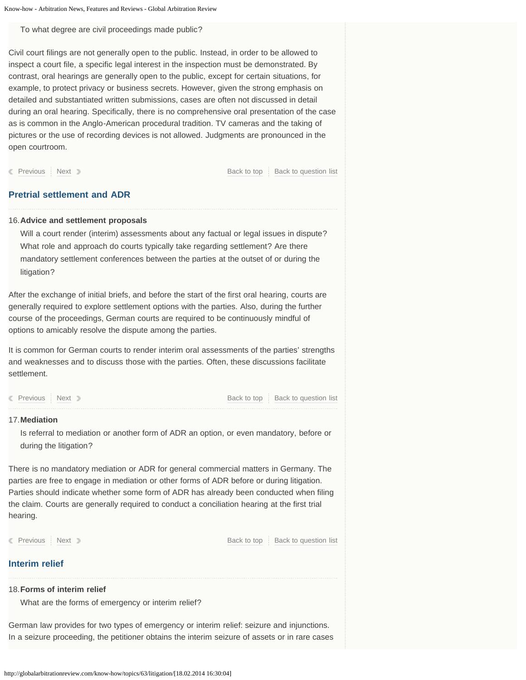#### <span id="page-5-0"></span>To what degree are civil proceedings made public?

Civil court filings are not generally open to the public. Instead, in order to be allowed to inspect a court file, a specific legal interest in the inspection must be demonstrated. By contrast, oral hearings are generally open to the public, except for certain situations, for example, to protect privacy or business secrets. However, given the strong emphasis on detailed and substantiated written submissions, cases are often not discussed in detail during an oral hearing. Specifically, there is no comprehensive oral presentation of the case as is common in the Anglo-American procedural tradition. TV cameras and the taking of pictures or the use of recording devices is not allowed. Judgments are pronounced in the open courtroom.

**[Previous](#page-4-3) [Next](#page-5-1) Access Access Access Access Access Access Access Access Access Access Access Access Access Access** 

## **Pretrial settlement and ADR**

### <span id="page-5-1"></span>**Advice and settlement proposals** 16.

Will a court render (interim) assessments about any factual or legal issues in dispute? What role and approach do courts typically take regarding settlement? Are there mandatory settlement conferences between the parties at the outset of or during the litigation?

After the exchange of initial briefs, and before the start of the first oral hearing, courts are generally required to explore settlement options with the parties. Also, during the further course of the proceedings, German courts are required to be continuously mindful of options to amicably resolve the dispute among the parties.

It is common for German courts to render interim oral assessments of the parties' strengths and weaknesses and to discuss those with the parties. Often, these discussions facilitate settlement.

**[Previous](#page-5-0) [Next](#page-5-2) [Back to top](#page-14-0) [Back to question list](#page-1-11)** Back to top Back to question list

#### <span id="page-5-2"></span>**Mediation** 17.

Is referral to mediation or another form of ADR an option, or even mandatory, before or during the litigation?

There is no mandatory mediation or ADR for general commercial matters in Germany. The parties are free to engage in mediation or other forms of ADR before or during litigation. Parties should indicate whether some form of ADR has already been conducted when filing the claim. Courts are generally required to conduct a conciliation hearing at the first trial hearing.

**[Previous](#page-5-1) [Next](#page-6-0) [Back to top](#page-14-0) Back to top [Back to question list](#page-1-12)** 

# **Interim relief**

# **Forms of interim relief** 18.

What are the forms of emergency or interim relief?

German law provides for two types of emergency or interim relief: seizure and injunctions. In a seizure proceeding, the petitioner obtains the interim seizure of assets or in rare cases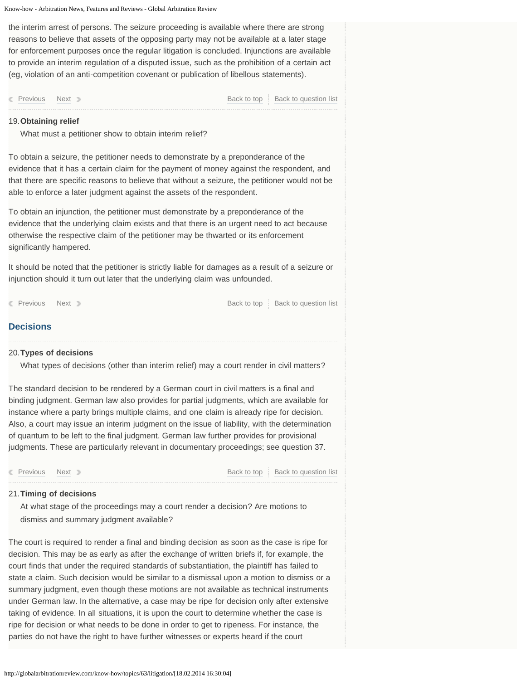<span id="page-6-0"></span>the interim arrest of persons. The seizure proceeding is available where there are strong reasons to believe that assets of the opposing party may not be available at a later stage for enforcement purposes once the regular litigation is concluded. Injunctions are available to provide an interim regulation of a disputed issue, such as the prohibition of a certain act (eg, violation of an anti-competition covenant or publication of libellous statements).

**[Previous](#page-5-2) [Next](#page-6-1) [Back to top](#page-14-0) Back to top [Back to question list](#page-1-13)** 

### <span id="page-6-1"></span>**Obtaining relief** 19.

What must a petitioner show to obtain interim relief?

To obtain a seizure, the petitioner needs to demonstrate by a preponderance of the evidence that it has a certain claim for the payment of money against the respondent, and that there are specific reasons to believe that without a seizure, the petitioner would not be able to enforce a later judgment against the assets of the respondent.

To obtain an injunction, the petitioner must demonstrate by a preponderance of the evidence that the underlying claim exists and that there is an urgent need to act because otherwise the respective claim of the petitioner may be thwarted or its enforcement significantly hampered.

It should be noted that the petitioner is strictly liable for damages as a result of a seizure or injunction should it turn out later that the underlying claim was unfounded.

**[Previous](#page-6-0) [Next](#page-6-2) Access Access Access Access Access Access Access Access Access Access Access Access Access Access** 

# **Decisions**

### <span id="page-6-2"></span>**Types of decisions** 20.

What types of decisions (other than interim relief) may a court render in civil matters?

The standard decision to be rendered by a German court in civil matters is a final and binding judgment. German law also provides for partial judgments, which are available for instance where a party brings multiple claims, and one claim is already ripe for decision. Also, a court may issue an interim judgment on the issue of liability, with the determination of quantum to be left to the final judgment. German law further provides for provisional judgments. These are particularly relevant in documentary proceedings; see question 37.

**[Previous](#page-6-1) [Next](#page-7-0) Access Access Access Access Access Access Access Access Access Access Access Access Access Access** 

### **Timing of decisions** 21.

At what stage of the proceedings may a court render a decision? Are motions to dismiss and summary judgment available?

The court is required to render a final and binding decision as soon as the case is ripe for decision. This may be as early as after the exchange of written briefs if, for example, the court finds that under the required standards of substantiation, the plaintiff has failed to state a claim. Such decision would be similar to a dismissal upon a motion to dismiss or a summary judgment, even though these motions are not available as technical instruments under German law. In the alternative, a case may be ripe for decision only after extensive taking of evidence. In all situations, it is upon the court to determine whether the case is ripe for decision or what needs to be done in order to get to ripeness. For instance, the parties do not have the right to have further witnesses or experts heard if the court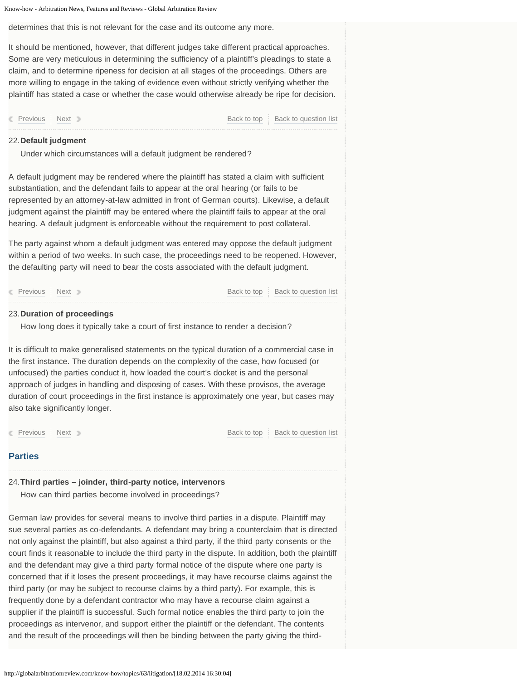<span id="page-7-0"></span>determines that this is not relevant for the case and its outcome any more.

It should be mentioned, however, that different judges take different practical approaches. Some are very meticulous in determining the sufficiency of a plaintiff's pleadings to state a claim, and to determine ripeness for decision at all stages of the proceedings. Others are more willing to engage in the taking of evidence even without strictly verifying whether the plaintiff has stated a case or whether the case would otherwise already be ripe for decision.

**[Previous](#page-6-2) [Next](#page-7-1) [Back to top](#page-14-0) Back to duestion list** 

## <span id="page-7-1"></span>**Default judgment** 22.

Under which circumstances will a default judgment be rendered?

A default judgment may be rendered where the plaintiff has stated a claim with sufficient substantiation, and the defendant fails to appear at the oral hearing (or fails to be represented by an attorney-at-law admitted in front of German courts). Likewise, a default judgment against the plaintiff may be entered where the plaintiff fails to appear at the oral hearing. A default judgment is enforceable without the requirement to post collateral.

The party against whom a default judgment was entered may oppose the default judgment within a period of two weeks. In such case, the proceedings need to be reopened. However, the defaulting party will need to bear the costs associated with the default judgment.

**[Previous](#page-7-0) [Next](#page-7-2) [Back to top](#page-14-0) [Back to question list](#page-2-6)** Back to top Back to question list

### <span id="page-7-2"></span>**Duration of proceedings** 23.

How long does it typically take a court of first instance to render a decision?

It is difficult to make generalised statements on the typical duration of a commercial case in the first instance. The duration depends on the complexity of the case, how focused (or unfocused) the parties conduct it, how loaded the court's docket is and the personal approach of judges in handling and disposing of cases. With these provisos, the average duration of court proceedings in the first instance is approximately one year, but cases may also take significantly longer.

**[Previous](#page-7-1) [Next](#page-8-0) Access Access Access Access Access Access Access Access Access Access Access Access Access Access** 

# **Parties**

# **Third parties – joinder, third-party notice, intervenors** 24.

How can third parties become involved in proceedings?

German law provides for several means to involve third parties in a dispute. Plaintiff may sue several parties as co-defendants. A defendant may bring a counterclaim that is directed not only against the plaintiff, but also against a third party, if the third party consents or the court finds it reasonable to include the third party in the dispute. In addition, both the plaintiff and the defendant may give a third party formal notice of the dispute where one party is concerned that if it loses the present proceedings, it may have recourse claims against the third party (or may be subject to recourse claims by a third party). For example, this is frequently done by a defendant contractor who may have a recourse claim against a supplier if the plaintiff is successful. Such formal notice enables the third party to join the proceedings as intervenor, and support either the plaintiff or the defendant. The contents and the result of the proceedings will then be binding between the party giving the third-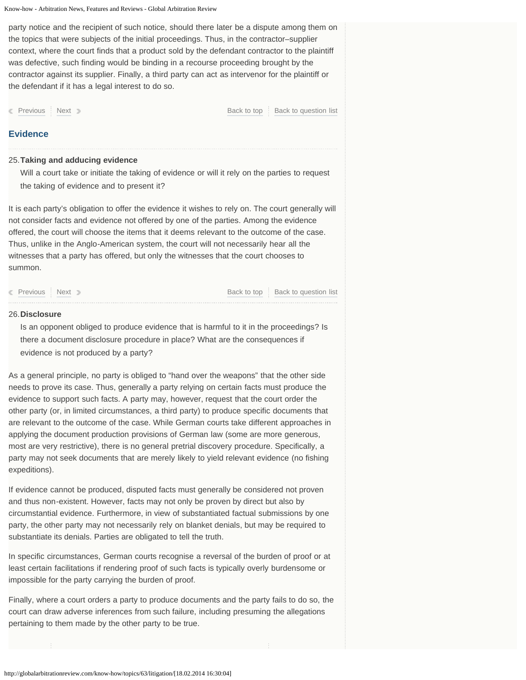<span id="page-8-0"></span>party notice and the recipient of such notice, should there later be a dispute among them on the topics that were subjects of the initial proceedings. Thus, in the contractor–supplier context, where the court finds that a product sold by the defendant contractor to the plaintiff was defective, such finding would be binding in a recourse proceeding brought by the contractor against its supplier. Finally, a third party can act as intervenor for the plaintiff or the defendant if it has a legal interest to do so.

**[Previous](#page-7-2) [Next](#page-8-1) Access Access Access Access Access Access Access Access Access Access Access Access Access Access** 

### **Evidence**

### <span id="page-8-1"></span>**Taking and adducing evidence** 25.

Will a court take or initiate the taking of evidence or will it rely on the parties to request the taking of evidence and to present it?

It is each party's obligation to offer the evidence it wishes to rely on. The court generally will not consider facts and evidence not offered by one of the parties. Among the evidence offered, the court will choose the items that it deems relevant to the outcome of the case. Thus, unlike in the Anglo-American system, the court will not necessarily hear all the witnesses that a party has offered, but only the witnesses that the court chooses to summon.

**[Previous](#page-8-0) [Next](#page-9-0) [Back to top](#page-14-0) [Back to question list](#page-2-9)** Back to due to Back to question list

### 26. **Disclosure**

Is an opponent obliged to produce evidence that is harmful to it in the proceedings? Is there a document disclosure procedure in place? What are the consequences if evidence is not produced by a party?

As a general principle, no party is obliged to "hand over the weapons" that the other side needs to prove its case. Thus, generally a party relying on certain facts must produce the evidence to support such facts. A party may, however, request that the court order the other party (or, in limited circumstances, a third party) to produce specific documents that are relevant to the outcome of the case. While German courts take different approaches in applying the document production provisions of German law (some are more generous, most are very restrictive), there is no general pretrial discovery procedure. Specifically, a party may not seek documents that are merely likely to yield relevant evidence (no fishing expeditions).

If evidence cannot be produced, disputed facts must generally be considered not proven and thus non-existent. However, facts may not only be proven by direct but also by circumstantial evidence. Furthermore, in view of substantiated factual submissions by one party, the other party may not necessarily rely on blanket denials, but may be required to substantiate its denials. Parties are obligated to tell the truth.

In specific circumstances, German courts recognise a reversal of the burden of proof or at least certain facilitations if rendering proof of such facts is typically overly burdensome or impossible for the party carrying the burden of proof.

Finally, where a court orders a party to produce documents and the party fails to do so, the court can draw adverse inferences from such failure, including presuming the allegations pertaining to them made by the other party to be true.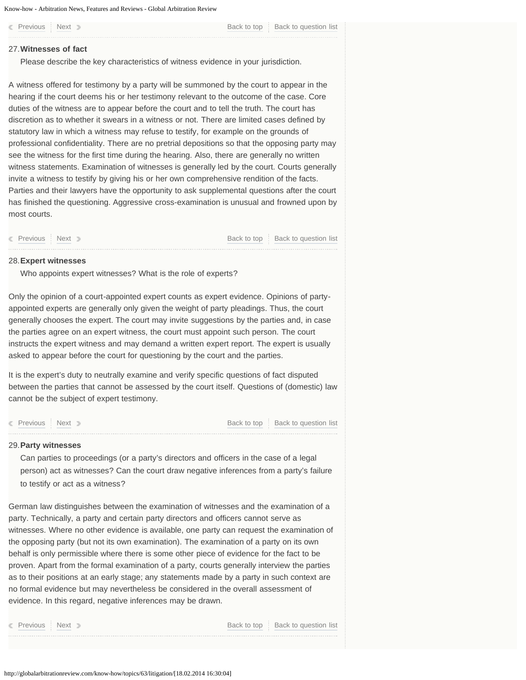# <span id="page-9-1"></span><span id="page-9-0"></span>**Witnesses of fact** 27.

Please describe the key characteristics of witness evidence in your jurisdiction.

A witness offered for testimony by a party will be summoned by the court to appear in the hearing if the court deems his or her testimony relevant to the outcome of the case. Core duties of the witness are to appear before the court and to tell the truth. The court has discretion as to whether it swears in a witness or not. There are limited cases defined by statutory law in which a witness may refuse to testify, for example on the grounds of professional confidentiality. There are no pretrial depositions so that the opposing party may see the witness for the first time during the hearing. Also, there are generally no written witness statements. Examination of witnesses is generally led by the court. Courts generally invite a witness to testify by giving his or her own comprehensive rendition of the facts. Parties and their lawyers have the opportunity to ask supplemental questions after the court has finished the questioning. Aggressive cross-examination is unusual and frowned upon by most courts.

**[Previous](#page-9-0) [Next](#page-9-2) Access Access Access Access Access Access Access Access Access Access Access Access Access Access** 

### <span id="page-9-2"></span>**Expert witnesses** 28.

Who appoints expert witnesses? What is the role of experts?

Only the opinion of a court-appointed expert counts as expert evidence. Opinions of partyappointed experts are generally only given the weight of party pleadings. Thus, the court generally chooses the expert. The court may invite suggestions by the parties and, in case the parties agree on an expert witness, the court must appoint such person. The court instructs the expert witness and may demand a written expert report. The expert is usually asked to appear before the court for questioning by the court and the parties.

It is the expert's duty to neutrally examine and verify specific questions of fact disputed between the parties that cannot be assessed by the court itself. Questions of (domestic) law cannot be the subject of expert testimony.

**[Previous](#page-9-1) [Next](#page-9-3) [Back to top](#page-14-0) Back to duestion list** 

### <span id="page-9-3"></span>**Party witnesses** 29.

Can parties to proceedings (or a party's directors and officers in the case of a legal person) act as witnesses? Can the court draw negative inferences from a party's failure to testify or act as a witness?

German law distinguishes between the examination of witnesses and the examination of a party. Technically, a party and certain party directors and officers cannot serve as witnesses. Where no other evidence is available, one party can request the examination of the opposing party (but not its own examination). The examination of a party on its own behalf is only permissible where there is some other piece of evidence for the fact to be proven. Apart from the formal examination of a party, courts generally interview the parties as to their positions at an early stage; any statements made by a party in such context are no formal evidence but may nevertheless be considered in the overall assessment of evidence. In this regard, negative inferences may be drawn.

**[Previous](#page-9-2) [Next](#page-10-0) [Back to top](#page-14-0) [Back to question list](#page-2-13)**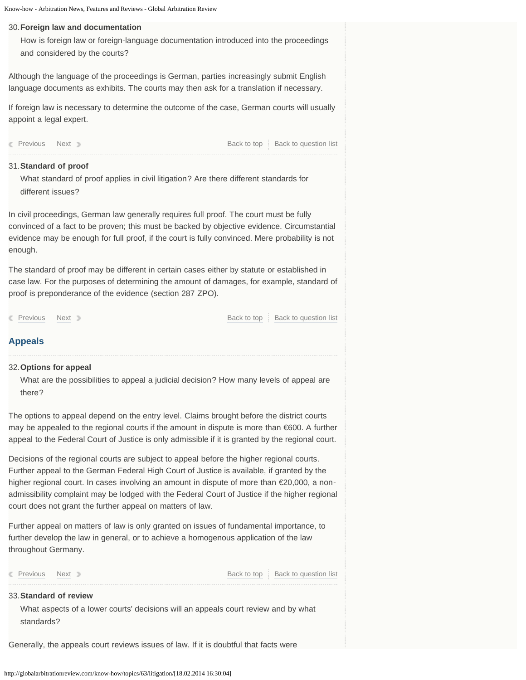### <span id="page-10-0"></span>**Foreign law and documentation** 30.

How is foreign law or foreign-language documentation introduced into the proceedings and considered by the courts?

Although the language of the proceedings is German, parties increasingly submit English language documents as exhibits. The courts may then ask for a translation if necessary.

If foreign law is necessary to determine the outcome of the case, German courts will usually appoint a legal expert.

**[Previous](#page-9-3) [Next](#page-10-1) [Back to top](#page-14-0) [Back to question list](#page-2-14)** Back to due to Back to question list

# <span id="page-10-1"></span>**Standard of proof** 31.

What standard of proof applies in civil litigation? Are there different standards for different issues?

In civil proceedings, German law generally requires full proof. The court must be fully convinced of a fact to be proven; this must be backed by objective evidence. Circumstantial evidence may be enough for full proof, if the court is fully convinced. Mere probability is not enough.

The standard of proof may be different in certain cases either by statute or established in case law. For the purposes of determining the amount of damages, for example, standard of proof is preponderance of the evidence (section 287 ZPO).

**[Previous](#page-10-0) [Next](#page-10-2) Review Access Access Access** [Back to top](#page-14-0) [Back to question list](#page-3-3)

# **Appeals**

### <span id="page-10-2"></span>**Options for appeal** 32.

What are the possibilities to appeal a judicial decision? How many levels of appeal are there?

The options to appeal depend on the entry level. Claims brought before the district courts may be appealed to the regional courts if the amount in dispute is more than €600. A further appeal to the Federal Court of Justice is only admissible if it is granted by the regional court.

Decisions of the regional courts are subject to appeal before the higher regional courts. Further appeal to the German Federal High Court of Justice is available, if granted by the higher regional court. In cases involving an amount in dispute of more than €20,000, a nonadmissibility complaint may be lodged with the Federal Court of Justice if the higher regional court does not grant the further appeal on matters of law.

Further appeal on matters of law is only granted on issues of fundamental importance, to further develop the law in general, or to achieve a homogenous application of the law throughout Germany.

**[Previous](#page-10-1) [Next](#page-11-0) [Back to top](#page-14-0) [Back to question list](#page-3-4)** Back to top Back to question list

### **Standard of review** 33.

What aspects of a lower courts' decisions will an appeals court review and by what standards?

Generally, the appeals court reviews issues of law. If it is doubtful that facts were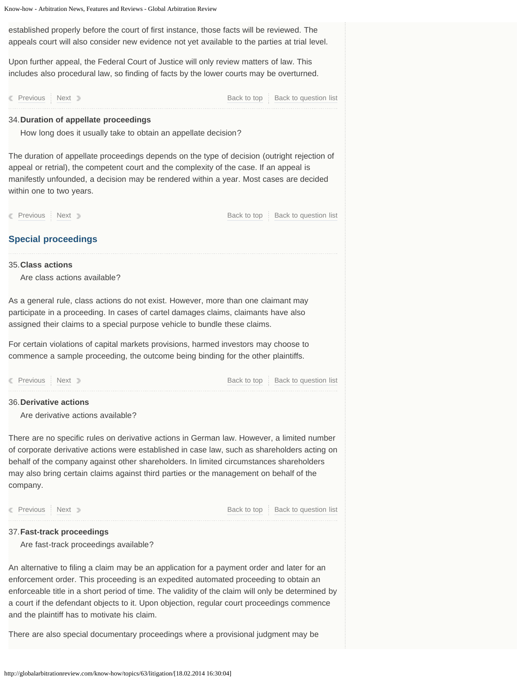<span id="page-11-2"></span><span id="page-11-1"></span><span id="page-11-0"></span>Know-how - Arbitration News, Features and Reviews - Global Arbitration Review **Special proceedings** established properly before the court of first instance, those facts will be reviewed. The appeals court will also consider new evidence not yet available to the parties at trial level. Upon further appeal, the Federal Court of Justice will only review matters of law. This includes also procedural law, so finding of facts by the lower courts may be overturned. **[Previous](#page-10-2) [Next](#page-11-1) [Back to top](#page-14-0) [Back to question list](#page-3-5) Duration of appellate proceedings** 34. How long does it usually take to obtain an appellate decision? The duration of appellate proceedings depends on the type of decision (outright rejection of appeal or retrial), the competent court and the complexity of the case. If an appeal is manifestly unfounded, a decision may be rendered within a year. Most cases are decided within one to two years. **[Previous](#page-11-0) [Next](#page-11-2) [Back to top](#page-14-0) Back to top [Back to question list](#page-3-6) Class actions** 35. Are class actions available? As a general rule, class actions do not exist. However, more than one claimant may participate in a proceeding. In cases of cartel damages claims, claimants have also assigned their claims to a special purpose vehicle to bundle these claims. For certain violations of capital markets provisions, harmed investors may choose to commence a sample proceeding, the outcome being binding for the other plaintiffs. **[Previous](#page-11-1) [Next](#page-11-3) [Back to top](#page-14-0) [Back to question list](#page-3-7) Derivative actions** 36. Are derivative actions available? There are no specific rules on derivative actions in German law. However, a limited number of corporate derivative actions were established in case law, such as shareholders acting on behalf of the company against other shareholders. In limited circumstances shareholders may also bring certain claims against third parties or the management on behalf of the company. **[Previous](#page-11-2) [Next](#page-12-0) Reserve Access Access Access Access Access Access Access Access Access Access Access Access Access Fast-track proceedings** 37. Are fast-track proceedings available? An alternative to filing a claim may be an application for a payment order and later for an enforcement order. This proceeding is an expedited automated proceeding to obtain an enforceable title in a short period of time. The validity of the claim will only be determined by a court if the defendant objects to it. Upon objection, regular court proceedings commence and the plaintiff has to motivate his claim. There are also special documentary proceedings where a provisional judgment may be

<span id="page-11-3"></span>http://globalarbitrationreview.com/know-how/topics/63/litigation/[18.02.2014 16:30:04]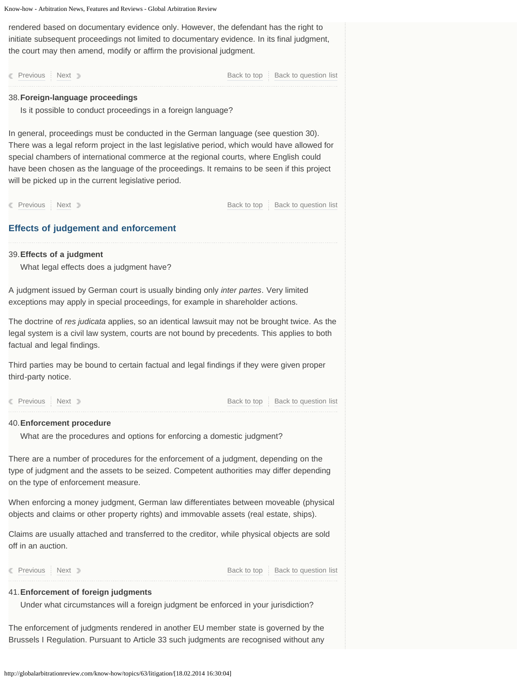<span id="page-12-0"></span>rendered based on documentary evidence only. However, the defendant has the right to initiate subsequent proceedings not limited to documentary evidence. In its final judgment, the court may then amend, modify or affirm the provisional judgment.

<span id="page-12-2"></span><span id="page-12-1"></span>**Effects of judgement and enforcement [Previous](#page-11-3) [Next](#page-12-1) [Back to top](#page-14-0) [Back to question list](#page-3-9)** Back to top Back to question list **Foreign-language proceedings** 38. Is it possible to conduct proceedings in a foreign language? In general, proceedings must be conducted in the German language (see question 30). There was a legal reform project in the last legislative period, which would have allowed for special chambers of international commerce at the regional courts, where English could have been chosen as the language of the proceedings. It remains to be seen if this project will be picked up in the current legislative period. **[Previous](#page-12-0) [Next](#page-12-2) [Back to top](#page-14-0) [Back to question list](#page-3-10)** Back to top Back to question list **Effects of a judgment** 39. What legal effects does a judgment have? A judgment issued by German court is usually binding only *inter partes*. Very limited exceptions may apply in special proceedings, for example in shareholder actions. The doctrine of *res judicata* applies, so an identical lawsuit may not be brought twice. As the legal system is a civil law system, courts are not bound by precedents. This applies to both factual and legal findings. Third parties may be bound to certain factual and legal findings if they were given proper third-party notice. **[Previous](#page-12-1) [Next](#page-12-3) [Back to top](#page-14-0) [Back to question list](#page-3-11)** Back to top Back to question list **Enforcement procedure** 40. What are the procedures and options for enforcing a domestic judgment? There are a number of procedures for the enforcement of a judgment, depending on the type of judgment and the assets to be seized. Competent authorities may differ depending on the type of enforcement measure. When enforcing a money judgment, German law differentiates between moveable (physical objects and claims or other property rights) and immovable assets (real estate, ships). Claims are usually attached and transferred to the creditor, while physical objects are sold off in an auction. **[Previous](#page-12-2) [Next](#page-13-0) [Back to top](#page-14-0) [Back to question list](#page-3-12)** Back to top Back to question list **Enforcement of foreign judgments** 41. Under what circumstances will a foreign judgment be enforced in your jurisdiction?

<span id="page-12-3"></span>The enforcement of judgments rendered in another EU member state is governed by the Brussels I Regulation. Pursuant to Article 33 such judgments are recognised without any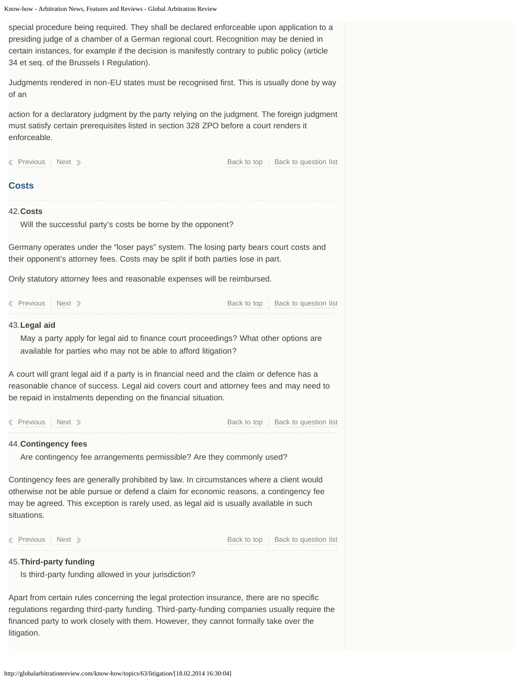<span id="page-13-2"></span><span id="page-13-1"></span><span id="page-13-0"></span>**Costs** special procedure being required. They shall be declared enforceable upon application to a presiding judge of a chamber of a German regional court. Recognition may be denied in certain instances, for example if the decision is manifestly contrary to public policy (article 34 et seq. of the Brussels I Regulation). Judgments rendered in non-EU states must be recognised first. This is usually done by way of an action for a declaratory judgment by the party relying on the judgment. The foreign judgment must satisfy certain prerequisites listed in section 328 ZPO before a court renders it enforceable. **[Previous](#page-12-3) [Next](#page-13-1) [Back to top](#page-14-0) [Back to question list](#page-3-13)** Back to top Back to question list **Costs** 42. Will the successful party's costs be borne by the opponent? Germany operates under the "loser pays" system. The losing party bears court costs and their opponent's attorney fees. Costs may be split if both parties lose in part. Only statutory attorney fees and reasonable expenses will be reimbursed. [Previous](#page-13-0) [Next](#page-13-2) [Back to top](#page-14-0) [Back to question list](#page-3-14) **Legal aid** 43. May a party apply for legal aid to finance court proceedings? What other options are available for parties who may not be able to afford litigation? A court will grant legal aid if a party is in financial need and the claim or defence has a reasonable chance of success. Legal aid covers court and attorney fees and may need to be repaid in instalments depending on the financial situation. **[Previous](#page-13-1) [Next](#page-13-3) Access Access Access Access Access Access Access Access Access Access Access Access Access Access Contingency fees** 44. Are contingency fee arrangements permissible? Are they commonly used? Contingency fees are generally prohibited by law. In circumstances where a client would otherwise not be able pursue or defend a claim for economic reasons, a contingency fee may be agreed. This exception is rarely used, as legal aid is usually available in such situations. **[Previous](#page-13-2) [Next](#page-14-1) [Back to top](#page-14-0) [Back to question list](#page-3-16) Third-party funding** 45. Is third-party funding allowed in your jurisdiction? Apart from certain rules concerning the legal protection insurance, there are no specific regulations regarding third-party funding. Third-party-funding companies usually require the

litigation.

<span id="page-13-3"></span>financed party to work closely with them. However, they cannot formally take over the